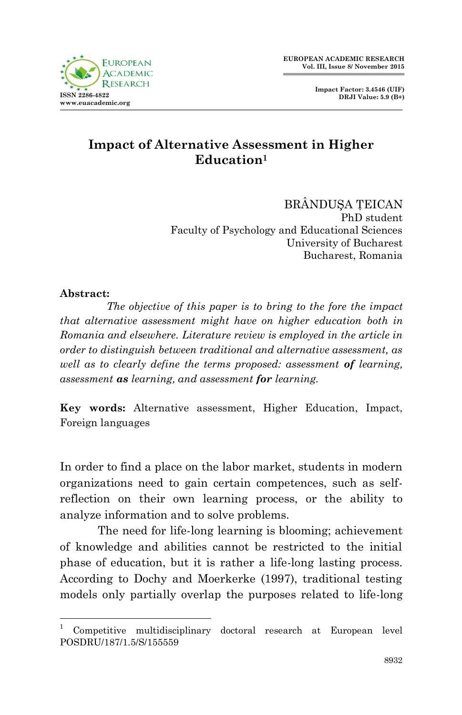



## **Impact of Alternative Assessment in Higher Education<sup>1</sup>**

BRÂNDUŞA ŢEICAN PhD student Faculty of Psychology and Educational Sciences University of Bucharest Bucharest, Romania

## **Abstract:**

.

 *The objective of this paper is to bring to the fore the impact that alternative assessment might have on higher education both in Romania and elsewhere. Literature review is employed in the article in order to distinguish between traditional and alternative assessment, as well as to clearly define the terms proposed: assessment of learning, assessment as learning, and assessment for learning.*

**Key words:** Alternative assessment, Higher Education, Impact, Foreign languages

In order to find a place on the labor market, students in modern organizations need to gain certain competences, such as selfreflection on their own learning process, or the ability to analyze information and to solve problems.

The need for life-long learning is blooming; achievement of knowledge and abilities cannot be restricted to the initial phase of education, but it is rather a life-long lasting process. According to Dochy and Moerkerke (1997), traditional testing models only partially overlap the purposes related to life-long

<sup>1</sup> Competitive multidisciplinary doctoral research at European level POSDRU/187/1.5/S/155559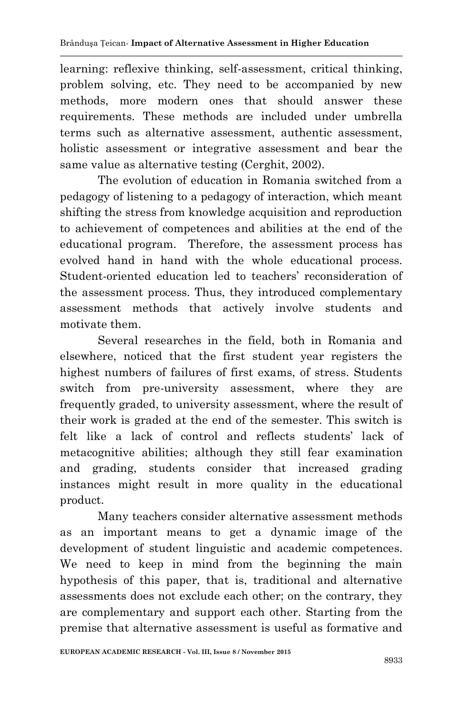learning: reflexive thinking, self-assessment, critical thinking, problem solving, etc. They need to be accompanied by new methods, more modern ones that should answer these requirements. These methods are included under umbrella terms such as alternative assessment, authentic assessment, holistic assessment or integrative assessment and bear the same value as alternative testing (Cerghit, 2002).

The evolution of education in Romania switched from a pedagogy of listening to a pedagogy of interaction, which meant shifting the stress from knowledge acquisition and reproduction to achievement of competences and abilities at the end of the educational program. Therefore, the assessment process has evolved hand in hand with the whole educational process. Student-oriented education led to teachers' reconsideration of the assessment process. Thus, they introduced complementary assessment methods that actively involve students and motivate them.

Several researches in the field, both in Romania and elsewhere, noticed that the first student year registers the highest numbers of failures of first exams, of stress. Students switch from pre-university assessment, where they are frequently graded, to university assessment, where the result of their work is graded at the end of the semester. This switch is felt like a lack of control and reflects students' lack of metacognitive abilities; although they still fear examination and grading, students consider that increased grading instances might result in more quality in the educational product.

Many teachers consider alternative assessment methods as an important means to get a dynamic image of the development of student linguistic and academic competences. We need to keep in mind from the beginning the main hypothesis of this paper, that is, traditional and alternative assessments does not exclude each other; on the contrary, they are complementary and support each other. Starting from the premise that alternative assessment is useful as formative and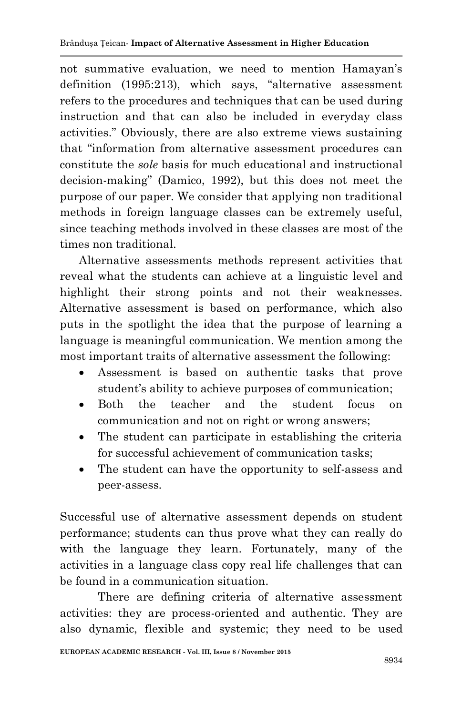not summative evaluation, we need to mention Hamayan's definition (1995:213), which says, "alternative assessment refers to the procedures and techniques that can be used during instruction and that can also be included in everyday class activities." Obviously, there are also extreme views sustaining that "information from alternative assessment procedures can constitute the *sole* basis for much educational and instructional decision-making" (Damico, 1992), but this does not meet the purpose of our paper. We consider that applying non traditional methods in foreign language classes can be extremely useful, since teaching methods involved in these classes are most of the times non traditional.

Alternative assessments methods represent activities that reveal what the students can achieve at a linguistic level and highlight their strong points and not their weaknesses. Alternative assessment is based on performance, which also puts in the spotlight the idea that the purpose of learning a language is meaningful communication. We mention among the most important traits of alternative assessment the following:

- Assessment is based on authentic tasks that prove student's ability to achieve purposes of communication;
- Both the teacher and the student focus on communication and not on right or wrong answers;
- The student can participate in establishing the criteria for successful achievement of communication tasks;
- The student can have the opportunity to self-assess and peer-assess.

Successful use of alternative assessment depends on student performance; students can thus prove what they can really do with the language they learn. Fortunately, many of the activities in a language class copy real life challenges that can be found in a communication situation.

There are defining criteria of alternative assessment activities: they are process-oriented and authentic. They are also dynamic, flexible and systemic; they need to be used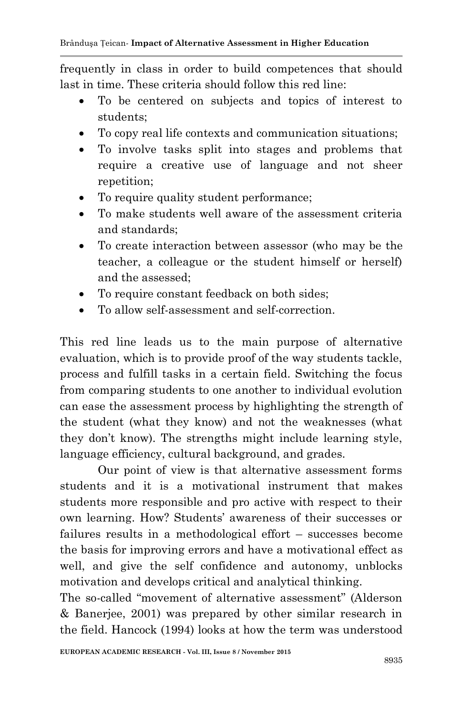frequently in class in order to build competences that should last in time. These criteria should follow this red line:

- To be centered on subjects and topics of interest to students;
- To copy real life contexts and communication situations;
- To involve tasks split into stages and problems that require a creative use of language and not sheer repetition;
- To require quality student performance:
- To make students well aware of the assessment criteria and standards;
- To create interaction between assessor (who may be the teacher, a colleague or the student himself or herself) and the assessed;
- To require constant feedback on both sides;
- To allow self-assessment and self-correction.

This red line leads us to the main purpose of alternative evaluation, which is to provide proof of the way students tackle, process and fulfill tasks in a certain field. Switching the focus from comparing students to one another to individual evolution can ease the assessment process by highlighting the strength of the student (what they know) and not the weaknesses (what they don't know). The strengths might include learning style, language efficiency, cultural background, and grades.

Our point of view is that alternative assessment forms students and it is a motivational instrument that makes students more responsible and pro active with respect to their own learning. How? Students' awareness of their successes or failures results in a methodological effort – successes become the basis for improving errors and have a motivational effect as well, and give the self confidence and autonomy, unblocks motivation and develops critical and analytical thinking.

The so-called "movement of alternative assessment" (Alderson & Banerjee, 2001) was prepared by other similar research in the field. Hancock (1994) looks at how the term was understood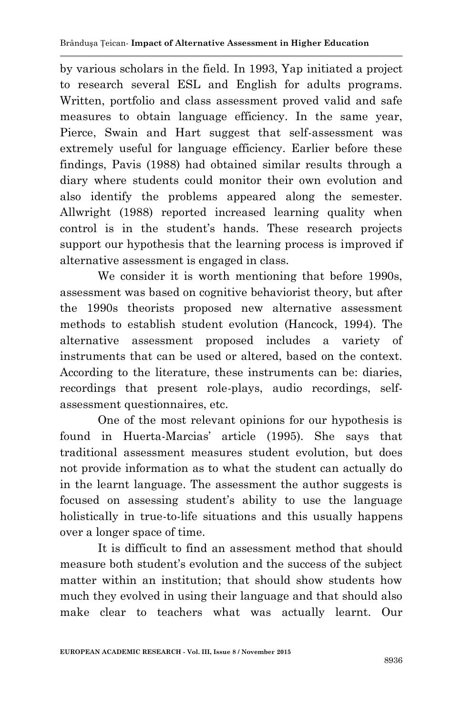by various scholars in the field. In 1993, Yap initiated a project to research several ESL and English for adults programs. Written, portfolio and class assessment proved valid and safe measures to obtain language efficiency. In the same year, Pierce, Swain and Hart suggest that self-assessment was extremely useful for language efficiency. Earlier before these findings, Pavis (1988) had obtained similar results through a diary where students could monitor their own evolution and also identify the problems appeared along the semester. Allwright (1988) reported increased learning quality when control is in the student's hands. These research projects support our hypothesis that the learning process is improved if alternative assessment is engaged in class.

We consider it is worth mentioning that before 1990s, assessment was based on cognitive behaviorist theory, but after the 1990s theorists proposed new alternative assessment methods to establish student evolution (Hancock, 1994). The alternative assessment proposed includes a variety of instruments that can be used or altered, based on the context. According to the literature, these instruments can be: diaries, recordings that present role-plays, audio recordings, selfassessment questionnaires, etc.

One of the most relevant opinions for our hypothesis is found in Huerta-Marcias' article (1995). She says that traditional assessment measures student evolution, but does not provide information as to what the student can actually do in the learnt language. The assessment the author suggests is focused on assessing student's ability to use the language holistically in true-to-life situations and this usually happens over a longer space of time.

It is difficult to find an assessment method that should measure both student's evolution and the success of the subject matter within an institution; that should show students how much they evolved in using their language and that should also make clear to teachers what was actually learnt. Our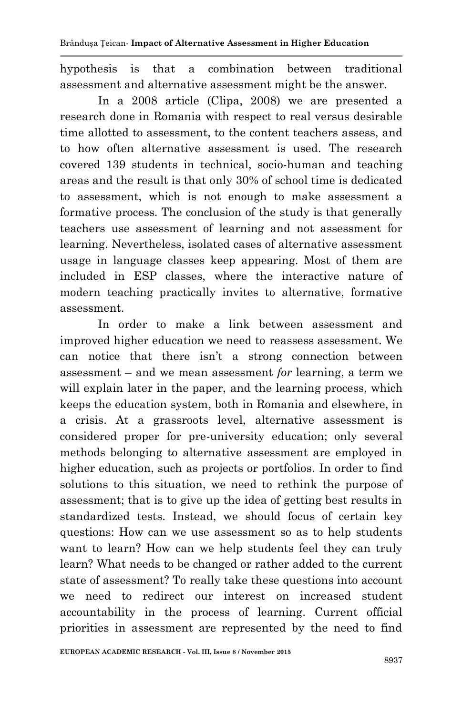hypothesis is that a combination between traditional assessment and alternative assessment might be the answer.

In a 2008 article (Clipa, 2008) we are presented a research done in Romania with respect to real versus desirable time allotted to assessment, to the content teachers assess, and to how often alternative assessment is used. The research covered 139 students in technical, socio-human and teaching areas and the result is that only 30% of school time is dedicated to assessment, which is not enough to make assessment a formative process. The conclusion of the study is that generally teachers use assessment of learning and not assessment for learning. Nevertheless, isolated cases of alternative assessment usage in language classes keep appearing. Most of them are included in ESP classes, where the interactive nature of modern teaching practically invites to alternative, formative assessment.

In order to make a link between assessment and improved higher education we need to reassess assessment. We can notice that there isn't a strong connection between assessment – and we mean assessment *for* learning, a term we will explain later in the paper, and the learning process, which keeps the education system, both in Romania and elsewhere, in a crisis. At a grassroots level, alternative assessment is considered proper for pre-university education; only several methods belonging to alternative assessment are employed in higher education, such as projects or portfolios. In order to find solutions to this situation, we need to rethink the purpose of assessment; that is to give up the idea of getting best results in standardized tests. Instead, we should focus of certain key questions: How can we use assessment so as to help students want to learn? How can we help students feel they can truly learn? What needs to be changed or rather added to the current state of assessment? To really take these questions into account we need to redirect our interest on increased student accountability in the process of learning. Current official priorities in assessment are represented by the need to find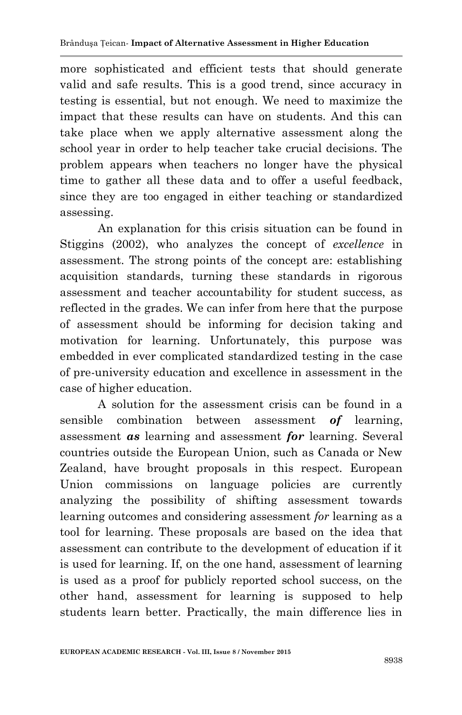more sophisticated and efficient tests that should generate valid and safe results. This is a good trend, since accuracy in testing is essential, but not enough. We need to maximize the impact that these results can have on students. And this can take place when we apply alternative assessment along the school year in order to help teacher take crucial decisions. The problem appears when teachers no longer have the physical time to gather all these data and to offer a useful feedback, since they are too engaged in either teaching or standardized assessing.

An explanation for this crisis situation can be found in Stiggins (2002), who analyzes the concept of *excellence* in assessment. The strong points of the concept are: establishing acquisition standards, turning these standards in rigorous assessment and teacher accountability for student success, as reflected in the grades. We can infer from here that the purpose of assessment should be informing for decision taking and motivation for learning. Unfortunately, this purpose was embedded in ever complicated standardized testing in the case of pre-university education and excellence in assessment in the case of higher education.

A solution for the assessment crisis can be found in a sensible combination between assessment *of* learning, assessment *as* learning and assessment *for* learning. Several countries outside the European Union, such as Canada or New Zealand, have brought proposals in this respect. European Union commissions on language policies are currently analyzing the possibility of shifting assessment towards learning outcomes and considering assessment *for* learning as a tool for learning. These proposals are based on the idea that assessment can contribute to the development of education if it is used for learning. If, on the one hand, assessment of learning is used as a proof for publicly reported school success, on the other hand, assessment for learning is supposed to help students learn better. Practically, the main difference lies in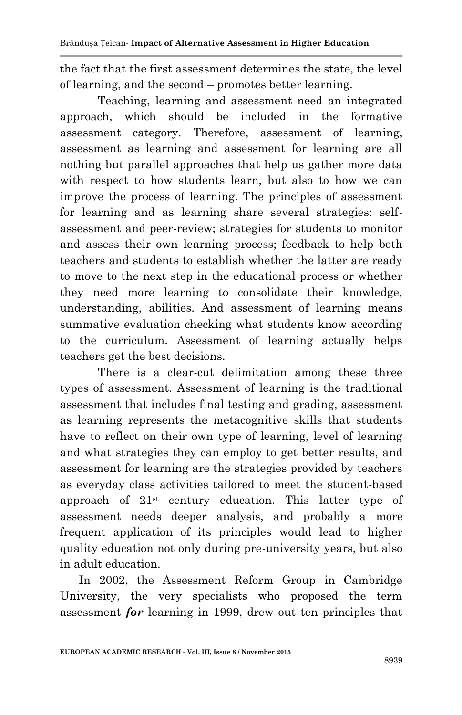the fact that the first assessment determines the state, the level of learning, and the second – promotes better learning.

Teaching, learning and assessment need an integrated approach, which should be included in the formative assessment category. Therefore, assessment of learning, assessment as learning and assessment for learning are all nothing but parallel approaches that help us gather more data with respect to how students learn, but also to how we can improve the process of learning. The principles of assessment for learning and as learning share several strategies: selfassessment and peer-review; strategies for students to monitor and assess their own learning process; feedback to help both teachers and students to establish whether the latter are ready to move to the next step in the educational process or whether they need more learning to consolidate their knowledge, understanding, abilities. And assessment of learning means summative evaluation checking what students know according to the curriculum. Assessment of learning actually helps teachers get the best decisions.

There is a clear-cut delimitation among these three types of assessment. Assessment of learning is the traditional assessment that includes final testing and grading, assessment as learning represents the metacognitive skills that students have to reflect on their own type of learning, level of learning and what strategies they can employ to get better results, and assessment for learning are the strategies provided by teachers as everyday class activities tailored to meet the student-based approach of 21st century education. This latter type of assessment needs deeper analysis, and probably a more frequent application of its principles would lead to higher quality education not only during pre-university years, but also in adult education.

In 2002, the Assessment Reform Group in Cambridge University, the very specialists who proposed the term assessment *for* learning in 1999, drew out ten principles that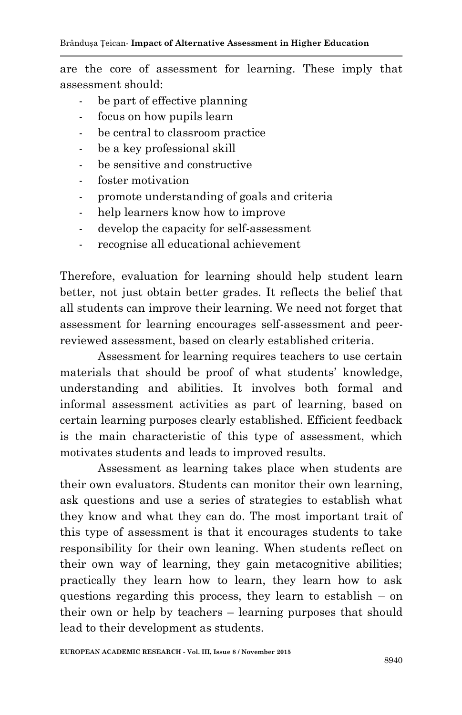are the core of assessment for learning. These imply that assessment should:

- be part of effective planning
- focus on how pupils learn
- be central to classroom practice
- be a key professional skill
- be sensitive and constructive
- foster motivation
- promote understanding of goals and criteria
- help learners know how to improve
- develop the capacity for self-assessment
- recognise all educational achievement

Therefore, evaluation for learning should help student learn better, not just obtain better grades. It reflects the belief that all students can improve their learning. We need not forget that assessment for learning encourages self-assessment and peerreviewed assessment, based on clearly established criteria.

Assessment for learning requires teachers to use certain materials that should be proof of what students' knowledge, understanding and abilities. It involves both formal and informal assessment activities as part of learning, based on certain learning purposes clearly established. Efficient feedback is the main characteristic of this type of assessment, which motivates students and leads to improved results.

Assessment as learning takes place when students are their own evaluators. Students can monitor their own learning, ask questions and use a series of strategies to establish what they know and what they can do. The most important trait of this type of assessment is that it encourages students to take responsibility for their own leaning. When students reflect on their own way of learning, they gain metacognitive abilities; practically they learn how to learn, they learn how to ask questions regarding this process, they learn to establish – on their own or help by teachers – learning purposes that should lead to their development as students.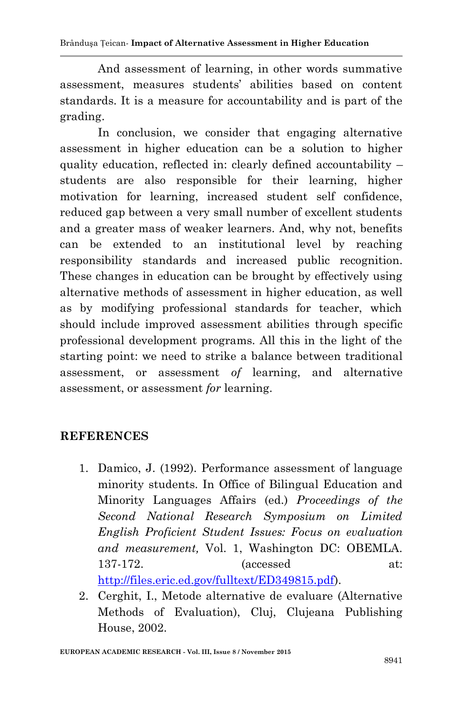Brânduşa Țeican*-* **Impact of Alternative Assessment in Higher Education**

And assessment of learning, in other words summative assessment, measures students' abilities based on content standards. It is a measure for accountability and is part of the grading.

In conclusion, we consider that engaging alternative assessment in higher education can be a solution to higher quality education, reflected in: clearly defined accountability – students are also responsible for their learning, higher motivation for learning, increased student self confidence, reduced gap between a very small number of excellent students and a greater mass of weaker learners. And, why not, benefits can be extended to an institutional level by reaching responsibility standards and increased public recognition. These changes in education can be brought by effectively using alternative methods of assessment in higher education, as well as by modifying professional standards for teacher, which should include improved assessment abilities through specific professional development programs. All this in the light of the starting point: we need to strike a balance between traditional assessment, or assessment *of* learning, and alternative assessment, or assessment *for* learning.

## **REFERENCES**

- 1. Damico, J. (1992). Performance assessment of language minority students. In Office of Bilingual Education and Minority Languages Affairs (ed.) *Proceedings of the Second National Research Symposium on Limited English Proficient Student Issues: Focus on evaluation and measurement,* Vol. 1, Washington DC: OBEMLA. 137-172. (accessed at: [http://files.eric.ed.gov/fulltext/ED349815.pdf\)](http://files.eric.ed.gov/fulltext/ED349815.pdf).
- 2. Cerghit, I., Metode alternative de evaluare (Alternative Methods of Evaluation), Cluj, Clujeana Publishing House, 2002.